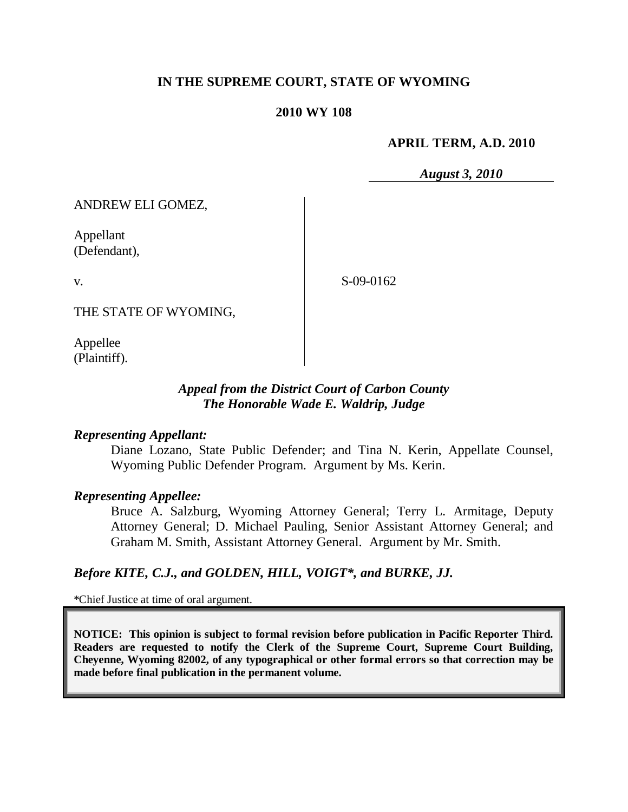## **IN THE SUPREME COURT, STATE OF WYOMING**

#### **2010 WY 108**

#### **APRIL TERM, A.D. 2010**

*August 3, 2010*

ANDREW ELI GOMEZ,

Appellant (Defendant),

v.

S-09-0162

THE STATE OF WYOMING,

Appellee (Plaintiff).

### *Appeal from the District Court of Carbon County The Honorable Wade E. Waldrip, Judge*

#### *Representing Appellant:*

Diane Lozano, State Public Defender; and Tina N. Kerin, Appellate Counsel, Wyoming Public Defender Program. Argument by Ms. Kerin.

#### *Representing Appellee:*

Bruce A. Salzburg, Wyoming Attorney General; Terry L. Armitage, Deputy Attorney General; D. Michael Pauling, Senior Assistant Attorney General; and Graham M. Smith, Assistant Attorney General. Argument by Mr. Smith.

### *Before KITE, C.J., and GOLDEN, HILL, VOIGT\*, and BURKE, JJ.*

\*Chief Justice at time of oral argument.

**NOTICE: This opinion is subject to formal revision before publication in Pacific Reporter Third. Readers are requested to notify the Clerk of the Supreme Court, Supreme Court Building, Cheyenne, Wyoming 82002, of any typographical or other formal errors so that correction may be made before final publication in the permanent volume.**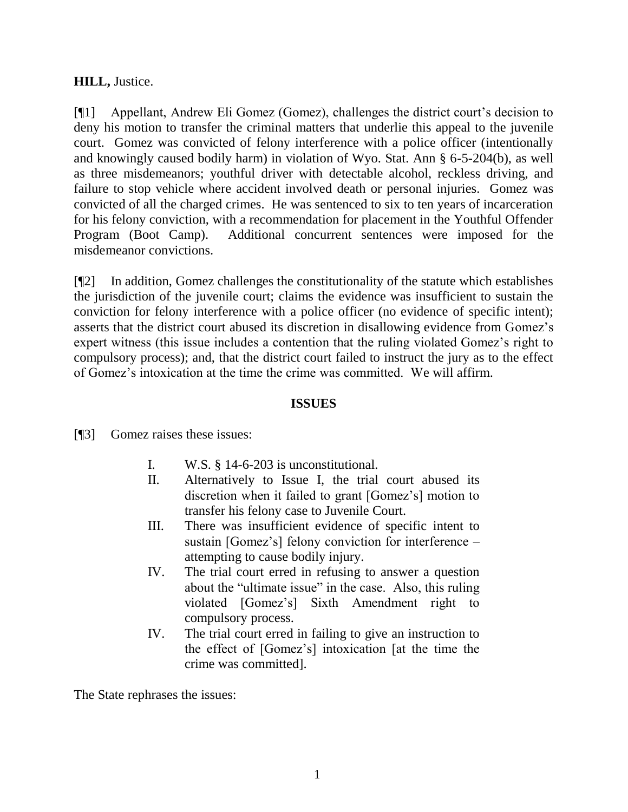## **HILL,** Justice.

[¶1] Appellant, Andrew Eli Gomez (Gomez), challenges the district court's decision to deny his motion to transfer the criminal matters that underlie this appeal to the juvenile court. Gomez was convicted of felony interference with a police officer (intentionally and knowingly caused bodily harm) in violation of Wyo. Stat. Ann § 6-5-204(b), as well as three misdemeanors; youthful driver with detectable alcohol, reckless driving, and failure to stop vehicle where accident involved death or personal injuries. Gomez was convicted of all the charged crimes. He was sentenced to six to ten years of incarceration for his felony conviction, with a recommendation for placement in the Youthful Offender Program (Boot Camp). Additional concurrent sentences were imposed for the misdemeanor convictions.

[¶2] In addition, Gomez challenges the constitutionality of the statute which establishes the jurisdiction of the juvenile court; claims the evidence was insufficient to sustain the conviction for felony interference with a police officer (no evidence of specific intent); asserts that the district court abused its discretion in disallowing evidence from Gomez's expert witness (this issue includes a contention that the ruling violated Gomez's right to compulsory process); and, that the district court failed to instruct the jury as to the effect of Gomez's intoxication at the time the crime was committed. We will affirm.

## **ISSUES**

[¶3] Gomez raises these issues:

- I. W.S. § 14-6-203 is unconstitutional.
- II. Alternatively to Issue I, the trial court abused its discretion when it failed to grant [Gomez's] motion to transfer his felony case to Juvenile Court.
- III. There was insufficient evidence of specific intent to sustain [Gomez's] felony conviction for interference – attempting to cause bodily injury.
- IV. The trial court erred in refusing to answer a question about the "ultimate issue" in the case. Also, this ruling violated [Gomez's] Sixth Amendment right to compulsory process.
- IV. The trial court erred in failing to give an instruction to the effect of [Gomez's] intoxication [at the time the crime was committed].

The State rephrases the issues: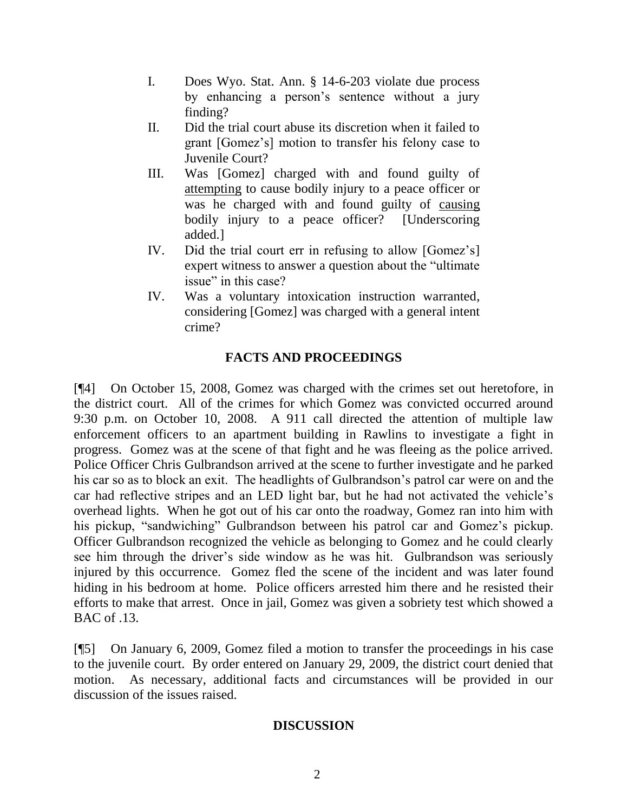- I. Does Wyo. Stat. Ann. § 14-6-203 violate due process by enhancing a person's sentence without a jury finding?
- II. Did the trial court abuse its discretion when it failed to grant [Gomez's] motion to transfer his felony case to Juvenile Court?
- III. Was [Gomez] charged with and found guilty of attempting to cause bodily injury to a peace officer or was he charged with and found guilty of causing bodily injury to a peace officer? [Underscoring] added.]
- IV. Did the trial court err in refusing to allow [Gomez's] expert witness to answer a question about the "ultimate issue" in this case?
- IV. Was a voluntary intoxication instruction warranted, considering [Gomez] was charged with a general intent crime?

# **FACTS AND PROCEEDINGS**

[¶4] On October 15, 2008, Gomez was charged with the crimes set out heretofore, in the district court. All of the crimes for which Gomez was convicted occurred around 9:30 p.m. on October 10, 2008. A 911 call directed the attention of multiple law enforcement officers to an apartment building in Rawlins to investigate a fight in progress. Gomez was at the scene of that fight and he was fleeing as the police arrived. Police Officer Chris Gulbrandson arrived at the scene to further investigate and he parked his car so as to block an exit. The headlights of Gulbrandson's patrol car were on and the car had reflective stripes and an LED light bar, but he had not activated the vehicle's overhead lights. When he got out of his car onto the roadway, Gomez ran into him with his pickup, "sandwiching" Gulbrandson between his patrol car and Gomez's pickup. Officer Gulbrandson recognized the vehicle as belonging to Gomez and he could clearly see him through the driver's side window as he was hit. Gulbrandson was seriously injured by this occurrence. Gomez fled the scene of the incident and was later found hiding in his bedroom at home. Police officers arrested him there and he resisted their efforts to make that arrest. Once in jail, Gomez was given a sobriety test which showed a BAC of .13.

[¶5] On January 6, 2009, Gomez filed a motion to transfer the proceedings in his case to the juvenile court. By order entered on January 29, 2009, the district court denied that motion. As necessary, additional facts and circumstances will be provided in our discussion of the issues raised.

# **DISCUSSION**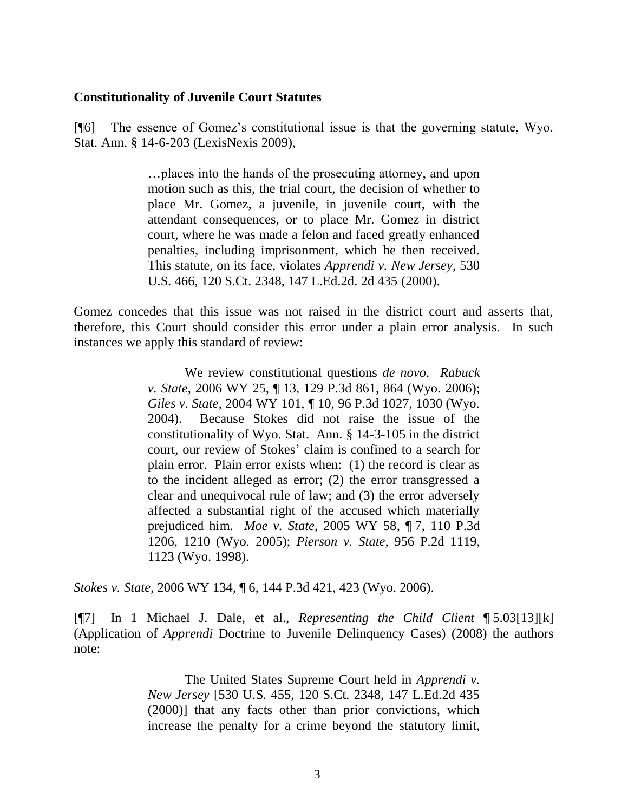#### **Constitutionality of Juvenile Court Statutes**

[¶6] The essence of Gomez's constitutional issue is that the governing statute, Wyo. Stat. Ann. § 14-6-203 (LexisNexis 2009),

> …places into the hands of the prosecuting attorney, and upon motion such as this, the trial court, the decision of whether to place Mr. Gomez, a juvenile, in juvenile court, with the attendant consequences, or to place Mr. Gomez in district court, where he was made a felon and faced greatly enhanced penalties, including imprisonment, which he then received. This statute, on its face, violates *Apprendi v. New Jersey*, 530 U.S. 466, 120 S.Ct. 2348, 147 L.Ed.2d. 2d 435 (2000).

Gomez concedes that this issue was not raised in the district court and asserts that, therefore, this Court should consider this error under a plain error analysis. In such instances we apply this standard of review:

> We review constitutional questions *de novo*. *Rabuck v. State*, 2006 WY 25, ¶ 13, 129 P.3d 861, 864 (Wyo. 2006); *Giles v. State*, 2004 WY 101, ¶ 10, 96 P.3d 1027, 1030 (Wyo. 2004). Because Stokes did not raise the issue of the constitutionality of Wyo. Stat. Ann. § 14-3-105 in the district court, our review of Stokes' claim is confined to a search for plain error. Plain error exists when: (1) the record is clear as to the incident alleged as error; (2) the error transgressed a clear and unequivocal rule of law; and (3) the error adversely affected a substantial right of the accused which materially prejudiced him. *Moe v. State*, 2005 WY 58, ¶ 7, 110 P.3d 1206, 1210 (Wyo. 2005); *Pierson v. State*, 956 P.2d 1119, 1123 (Wyo. 1998).

*Stokes v. State*, 2006 WY 134, ¶ 6, 144 P.3d 421, 423 (Wyo. 2006).

[¶7] In 1 Michael J. Dale, et al., *Representing the Child Client* ¶ 5.03[13][k] (Application of *Apprendi* Doctrine to Juvenile Delinquency Cases) (2008) the authors note:

> The United States Supreme Court held in *Apprendi v. New Jersey* [530 U.S. 455, 120 S.Ct. 2348, 147 L.Ed.2d 435 (2000)] that any facts other than prior convictions, which increase the penalty for a crime beyond the statutory limit,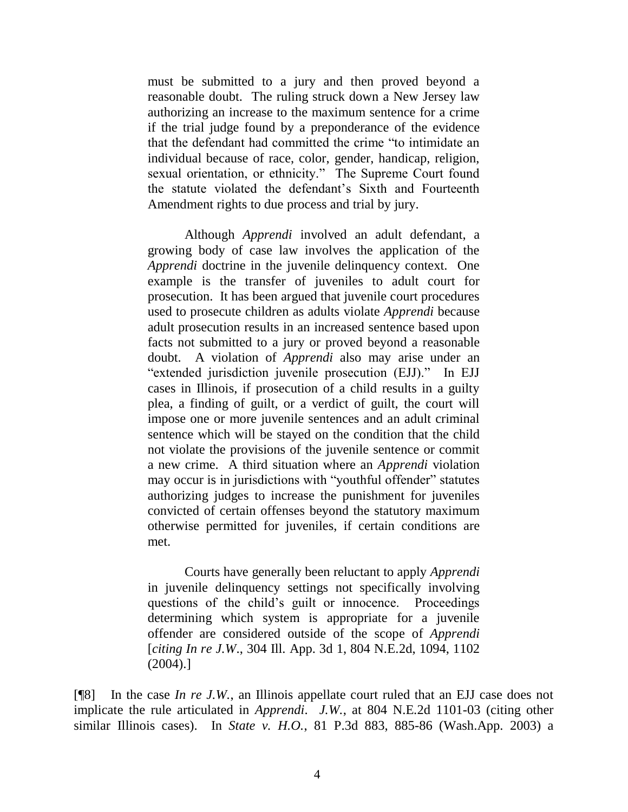must be submitted to a jury and then proved beyond a reasonable doubt. The ruling struck down a New Jersey law authorizing an increase to the maximum sentence for a crime if the trial judge found by a preponderance of the evidence that the defendant had committed the crime "to intimidate an individual because of race, color, gender, handicap, religion, sexual orientation, or ethnicity." The Supreme Court found the statute violated the defendant's Sixth and Fourteenth Amendment rights to due process and trial by jury.

Although *Apprendi* involved an adult defendant, a growing body of case law involves the application of the *Apprendi* doctrine in the juvenile delinquency context. One example is the transfer of juveniles to adult court for prosecution. It has been argued that juvenile court procedures used to prosecute children as adults violate *Apprendi* because adult prosecution results in an increased sentence based upon facts not submitted to a jury or proved beyond a reasonable doubt. A violation of *Apprendi* also may arise under an "extended jurisdiction juvenile prosecution (EJJ)." In EJJ cases in Illinois, if prosecution of a child results in a guilty plea, a finding of guilt, or a verdict of guilt, the court will impose one or more juvenile sentences and an adult criminal sentence which will be stayed on the condition that the child not violate the provisions of the juvenile sentence or commit a new crime. A third situation where an *Apprendi* violation may occur is in jurisdictions with "youthful offender" statutes authorizing judges to increase the punishment for juveniles convicted of certain offenses beyond the statutory maximum otherwise permitted for juveniles, if certain conditions are met.

Courts have generally been reluctant to apply *Apprendi* in juvenile delinquency settings not specifically involving questions of the child's guilt or innocence. Proceedings determining which system is appropriate for a juvenile offender are considered outside of the scope of *Apprendi*  [*citing In re J.W*., 304 Ill. App. 3d 1, 804 N.E.2d, 1094, 1102 (2004).]

[¶8] In the case *In re J.W.*, an Illinois appellate court ruled that an EJJ case does not implicate the rule articulated in *Apprendi*. *J.W.*, at 804 N.E.2d 1101-03 (citing other similar Illinois cases). In *State v. H.O.*, 81 P.3d 883, 885-86 (Wash.App. 2003) a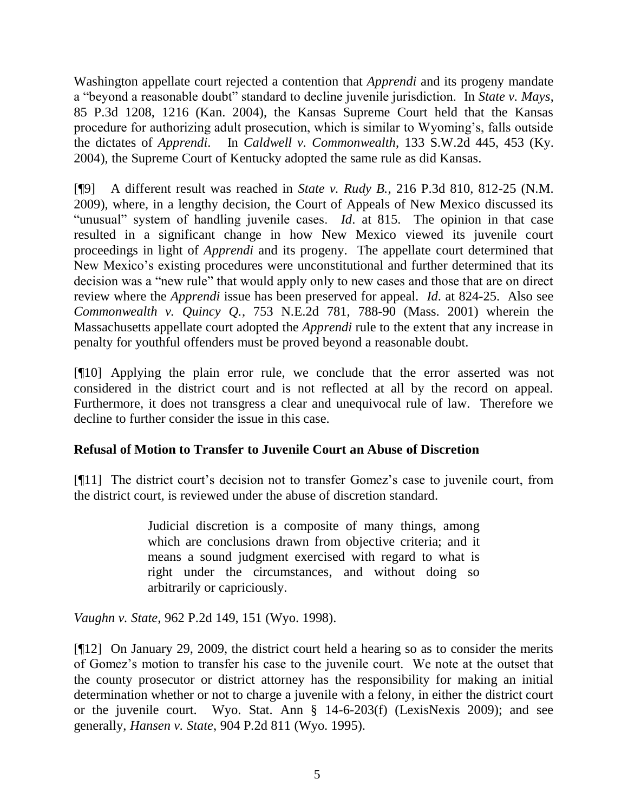Washington appellate court rejected a contention that *Apprendi* and its progeny mandate a "beyond a reasonable doubt" standard to decline juvenile jurisdiction.In *State v. Mays*, 85 P.3d 1208, 1216 (Kan. 2004), the Kansas Supreme Court held that the Kansas procedure for authorizing adult prosecution, which is similar to Wyoming's, falls outside the dictates of *Apprendi*. In *Caldwell v. Commonwealth*, 133 S.W.2d 445, 453 (Ky. 2004), the Supreme Court of Kentucky adopted the same rule as did Kansas.

[¶9] A different result was reached in *State v. Rudy B.*, 216 P.3d 810, 812-25 (N.M. 2009), where, in a lengthy decision, the Court of Appeals of New Mexico discussed its "unusual" system of handling juvenile cases. *Id*. at 815. The opinion in that case resulted in a significant change in how New Mexico viewed its juvenile court proceedings in light of *Apprendi* and its progeny. The appellate court determined that New Mexico's existing procedures were unconstitutional and further determined that its decision was a "new rule" that would apply only to new cases and those that are on direct review where the *Apprendi* issue has been preserved for appeal. *Id*. at 824-25. Also see *Commonwealth v. Quincy Q.*, 753 N.E.2d 781, 788-90 (Mass. 2001) wherein the Massachusetts appellate court adopted the *Apprendi* rule to the extent that any increase in penalty for youthful offenders must be proved beyond a reasonable doubt.

[¶10] Applying the plain error rule, we conclude that the error asserted was not considered in the district court and is not reflected at all by the record on appeal. Furthermore, it does not transgress a clear and unequivocal rule of law. Therefore we decline to further consider the issue in this case.

# **Refusal of Motion to Transfer to Juvenile Court an Abuse of Discretion**

[¶11] The district court's decision not to transfer Gomez's case to juvenile court, from the district court, is reviewed under the abuse of discretion standard.

> Judicial discretion is a composite of many things, among which are conclusions drawn from objective criteria; and it means a sound judgment exercised with regard to what is right under the circumstances, and without doing so arbitrarily or capriciously.

*Vaughn v. State*, 962 P.2d 149, 151 (Wyo. 1998).

[¶12] On January 29, 2009, the district court held a hearing so as to consider the merits of Gomez's motion to transfer his case to the juvenile court. We note at the outset that the county prosecutor or district attorney has the responsibility for making an initial determination whether or not to charge a juvenile with a felony, in either the district court or the juvenile court. Wyo. Stat. Ann § 14-6-203(f) (LexisNexis 2009); and see generally, *Hansen v. State*, 904 P.2d 811 (Wyo. 1995).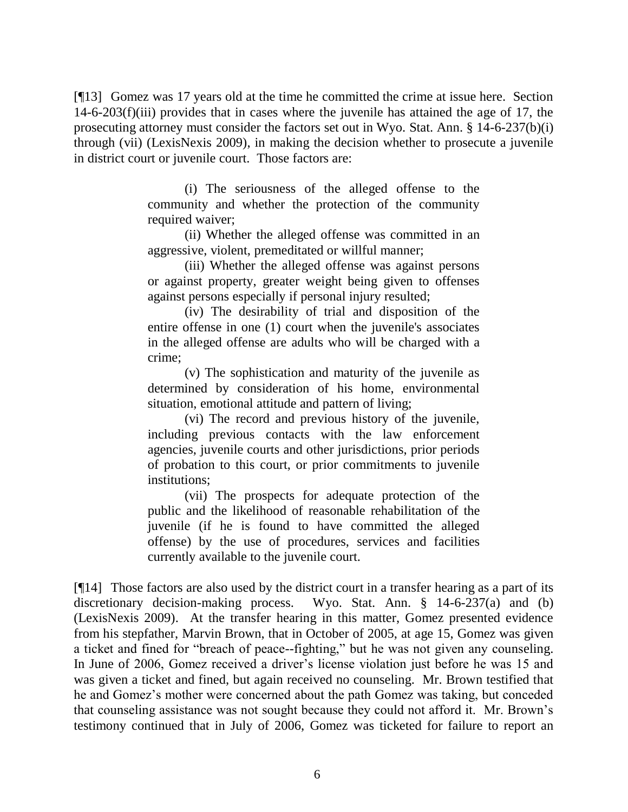[¶13] Gomez was 17 years old at the time he committed the crime at issue here. Section 14-6-203(f)(iii) provides that in cases where the juvenile has attained the age of 17, the prosecuting attorney must consider the factors set out in Wyo. Stat. Ann. § 14-6-237(b)(i) through (vii) (LexisNexis 2009), in making the decision whether to prosecute a juvenile in district court or juvenile court. Those factors are:

> (i) The seriousness of the alleged offense to the community and whether the protection of the community required waiver;

> (ii) Whether the alleged offense was committed in an aggressive, violent, premeditated or willful manner;

> (iii) Whether the alleged offense was against persons or against property, greater weight being given to offenses against persons especially if personal injury resulted;

> (iv) The desirability of trial and disposition of the entire offense in one (1) court when the juvenile's associates in the alleged offense are adults who will be charged with a crime;

> (v) The sophistication and maturity of the juvenile as determined by consideration of his home, environmental situation, emotional attitude and pattern of living;

> (vi) The record and previous history of the juvenile, including previous contacts with the law enforcement agencies, juvenile courts and other jurisdictions, prior periods of probation to this court, or prior commitments to juvenile institutions;

> (vii) The prospects for adequate protection of the public and the likelihood of reasonable rehabilitation of the juvenile (if he is found to have committed the alleged offense) by the use of procedures, services and facilities currently available to the juvenile court.

[¶14] Those factors are also used by the district court in a transfer hearing as a part of its discretionary decision-making process. Wyo. Stat. Ann. § 14-6-237(a) and (b) (LexisNexis 2009). At the transfer hearing in this matter, Gomez presented evidence from his stepfather, Marvin Brown, that in October of 2005, at age 15, Gomez was given a ticket and fined for "breach of peace--fighting," but he was not given any counseling. In June of 2006, Gomez received a driver's license violation just before he was 15 and was given a ticket and fined, but again received no counseling. Mr. Brown testified that he and Gomez's mother were concerned about the path Gomez was taking, but conceded that counseling assistance was not sought because they could not afford it. Mr. Brown's testimony continued that in July of 2006, Gomez was ticketed for failure to report an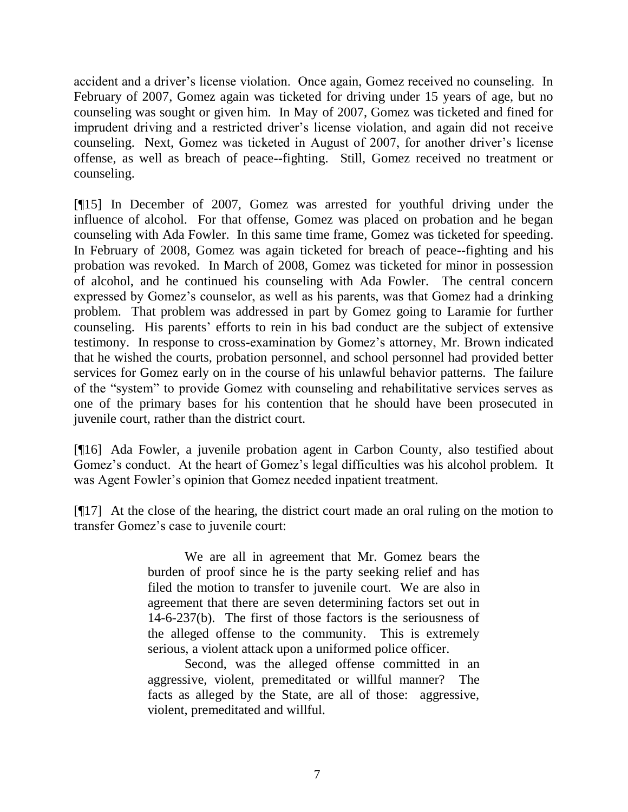accident and a driver's license violation. Once again, Gomez received no counseling. In February of 2007, Gomez again was ticketed for driving under 15 years of age, but no counseling was sought or given him. In May of 2007, Gomez was ticketed and fined for imprudent driving and a restricted driver's license violation, and again did not receive counseling. Next, Gomez was ticketed in August of 2007, for another driver's license offense, as well as breach of peace--fighting. Still, Gomez received no treatment or counseling.

[¶15] In December of 2007, Gomez was arrested for youthful driving under the influence of alcohol. For that offense, Gomez was placed on probation and he began counseling with Ada Fowler. In this same time frame, Gomez was ticketed for speeding. In February of 2008, Gomez was again ticketed for breach of peace--fighting and his probation was revoked. In March of 2008, Gomez was ticketed for minor in possession of alcohol, and he continued his counseling with Ada Fowler. The central concern expressed by Gomez's counselor, as well as his parents, was that Gomez had a drinking problem. That problem was addressed in part by Gomez going to Laramie for further counseling. His parents' efforts to rein in his bad conduct are the subject of extensive testimony. In response to cross-examination by Gomez's attorney, Mr. Brown indicated that he wished the courts, probation personnel, and school personnel had provided better services for Gomez early on in the course of his unlawful behavior patterns. The failure of the "system" to provide Gomez with counseling and rehabilitative services serves as one of the primary bases for his contention that he should have been prosecuted in juvenile court, rather than the district court.

[¶16] Ada Fowler, a juvenile probation agent in Carbon County, also testified about Gomez's conduct. At the heart of Gomez's legal difficulties was his alcohol problem. It was Agent Fowler's opinion that Gomez needed inpatient treatment.

[¶17] At the close of the hearing, the district court made an oral ruling on the motion to transfer Gomez's case to juvenile court:

> We are all in agreement that Mr. Gomez bears the burden of proof since he is the party seeking relief and has filed the motion to transfer to juvenile court. We are also in agreement that there are seven determining factors set out in 14-6-237(b). The first of those factors is the seriousness of the alleged offense to the community. This is extremely serious, a violent attack upon a uniformed police officer.

> Second, was the alleged offense committed in an aggressive, violent, premeditated or willful manner? The facts as alleged by the State, are all of those: aggressive, violent, premeditated and willful.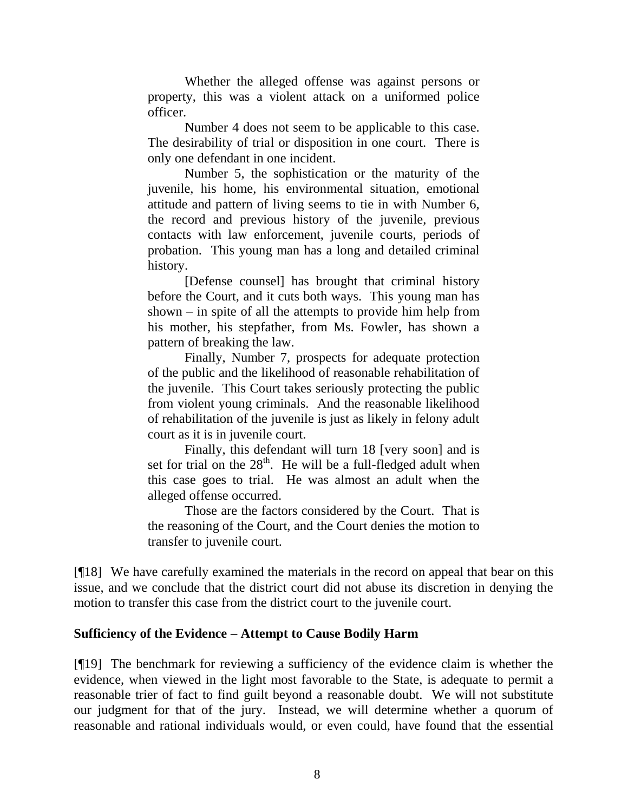Whether the alleged offense was against persons or property, this was a violent attack on a uniformed police officer.

Number 4 does not seem to be applicable to this case. The desirability of trial or disposition in one court. There is only one defendant in one incident.

Number 5, the sophistication or the maturity of the juvenile, his home, his environmental situation, emotional attitude and pattern of living seems to tie in with Number 6, the record and previous history of the juvenile, previous contacts with law enforcement, juvenile courts, periods of probation. This young man has a long and detailed criminal history.

[Defense counsel] has brought that criminal history before the Court, and it cuts both ways. This young man has shown – in spite of all the attempts to provide him help from his mother, his stepfather, from Ms. Fowler, has shown a pattern of breaking the law.

Finally, Number 7, prospects for adequate protection of the public and the likelihood of reasonable rehabilitation of the juvenile. This Court takes seriously protecting the public from violent young criminals. And the reasonable likelihood of rehabilitation of the juvenile is just as likely in felony adult court as it is in juvenile court.

Finally, this defendant will turn 18 [very soon] and is set for trial on the  $28<sup>th</sup>$ . He will be a full-fledged adult when this case goes to trial. He was almost an adult when the alleged offense occurred.

Those are the factors considered by the Court. That is the reasoning of the Court, and the Court denies the motion to transfer to juvenile court.

[¶18] We have carefully examined the materials in the record on appeal that bear on this issue, and we conclude that the district court did not abuse its discretion in denying the motion to transfer this case from the district court to the juvenile court.

### **Sufficiency of the Evidence – Attempt to Cause Bodily Harm**

[¶19] The benchmark for reviewing a sufficiency of the evidence claim is whether the evidence, when viewed in the light most favorable to the State, is adequate to permit a reasonable trier of fact to find guilt beyond a reasonable doubt. We will not substitute our judgment for that of the jury. Instead, we will determine whether a quorum of reasonable and rational individuals would, or even could, have found that the essential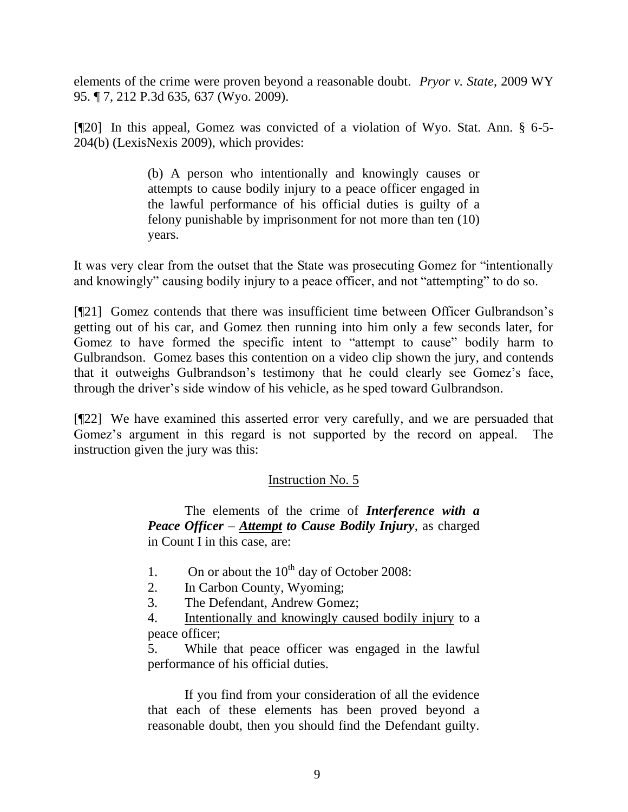elements of the crime were proven beyond a reasonable doubt. *Pryor v. State*, 2009 WY 95. ¶ 7, 212 P.3d 635, 637 (Wyo. 2009).

[¶20] In this appeal, Gomez was convicted of a violation of Wyo. Stat. Ann. § 6-5- 204(b) (LexisNexis 2009), which provides:

> (b) A person who intentionally and knowingly causes or attempts to cause bodily injury to a peace officer engaged in the lawful performance of his official duties is guilty of a felony punishable by imprisonment for not more than ten (10) years.

It was very clear from the outset that the State was prosecuting Gomez for "intentionally and knowingly" causing bodily injury to a peace officer, and not "attempting" to do so.

[¶21] Gomez contends that there was insufficient time between Officer Gulbrandson's getting out of his car, and Gomez then running into him only a few seconds later, for Gomez to have formed the specific intent to "attempt to cause" bodily harm to Gulbrandson. Gomez bases this contention on a video clip shown the jury, and contends that it outweighs Gulbrandson's testimony that he could clearly see Gomez's face, through the driver's side window of his vehicle, as he sped toward Gulbrandson.

[¶22] We have examined this asserted error very carefully, and we are persuaded that Gomez's argument in this regard is not supported by the record on appeal. The instruction given the jury was this:

# Instruction No. 5

The elements of the crime of *Interference with a Peace Officer – Attempt to Cause Bodily Injury*, as charged in Count I in this case, are:

- 1. On or about the  $10^{th}$  day of October 2008:
- 2. In Carbon County, Wyoming;
- 3. The Defendant, Andrew Gomez;

4. Intentionally and knowingly caused bodily injury to a peace officer;

5. While that peace officer was engaged in the lawful performance of his official duties.

If you find from your consideration of all the evidence that each of these elements has been proved beyond a reasonable doubt, then you should find the Defendant guilty.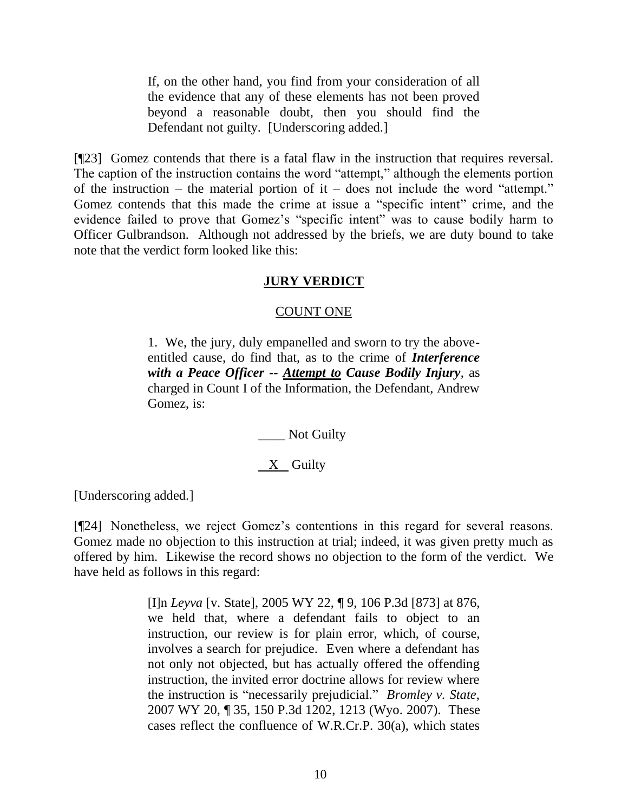If, on the other hand, you find from your consideration of all the evidence that any of these elements has not been proved beyond a reasonable doubt, then you should find the Defendant not guilty. [Underscoring added.]

[¶23] Gomez contends that there is a fatal flaw in the instruction that requires reversal. The caption of the instruction contains the word "attempt," although the elements portion of the instruction – the material portion of it – does not include the word "attempt." Gomez contends that this made the crime at issue a "specific intent" crime, and the evidence failed to prove that Gomez's "specific intent" was to cause bodily harm to Officer Gulbrandson. Although not addressed by the briefs, we are duty bound to take note that the verdict form looked like this:

### **JURY VERDICT**

### COUNT ONE

1. We, the jury, duly empanelled and sworn to try the aboveentitled cause, do find that, as to the crime of *Interference with a Peace Officer -- Attempt to Cause Bodily Injury*, as charged in Count I of the Information, the Defendant, Andrew Gomez, is:

\_\_\_\_ Not Guilty

# X Guilty

[Underscoring added.]

[¶24] Nonetheless, we reject Gomez's contentions in this regard for several reasons. Gomez made no objection to this instruction at trial; indeed, it was given pretty much as offered by him. Likewise the record shows no objection to the form of the verdict. We have held as follows in this regard:

> [I]n *Leyva* [v. State], 2005 WY 22, ¶ 9, 106 P.3d [873] at 876, we held that, where a defendant fails to object to an instruction, our review is for plain error, which, of course, involves a search for prejudice. Even where a defendant has not only not objected, but has actually offered the offending instruction, the invited error doctrine allows for review where the instruction is "necessarily prejudicial." *Bromley v. State*, 2007 WY 20, ¶ 35, 150 P.3d 1202, 1213 (Wyo. 2007). These cases reflect the confluence of W.R.Cr.P. 30(a), which states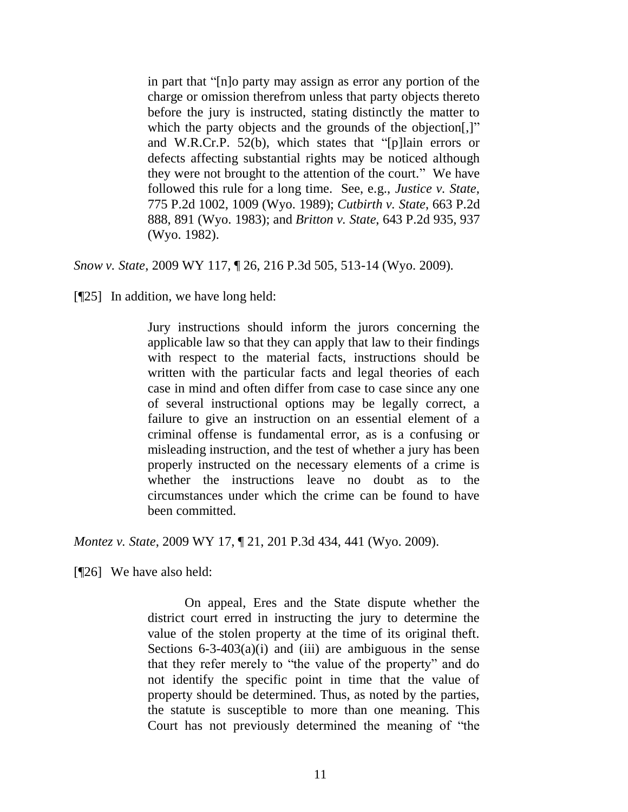in part that "[n]o party may assign as error any portion of the charge or omission therefrom unless that party objects thereto before the jury is instructed, stating distinctly the matter to which the party objects and the grounds of the objection..." and W.R.Cr.P. 52(b), which states that "[p]lain errors or defects affecting substantial rights may be noticed although they were not brought to the attention of the court." We have followed this rule for a long time. See, e.g., *Justice v. State*, 775 P.2d 1002, 1009 (Wyo. 1989); *Cutbirth v. State*, 663 P.2d 888, 891 (Wyo. 1983); and *Britton v. State*, 643 P.2d 935, 937 (Wyo. 1982).

*Snow v. State*, 2009 WY 117, ¶ 26, 216 P.3d 505, 513-14 (Wyo. 2009).

[¶25] In addition, we have long held:

Jury instructions should inform the jurors concerning the applicable law so that they can apply that law to their findings with respect to the material facts, instructions should be written with the particular facts and legal theories of each case in mind and often differ from case to case since any one of several instructional options may be legally correct, a failure to give an instruction on an essential element of a criminal offense is fundamental error, as is a confusing or misleading instruction, and the test of whether a jury has been properly instructed on the necessary elements of a crime is whether the instructions leave no doubt as to the circumstances under which the crime can be found to have been committed.

*Montez v. State*, 2009 WY 17, ¶ 21, 201 P.3d 434, 441 (Wyo. 2009).

[¶26] We have also held:

On appeal, Eres and the State dispute whether the district court erred in instructing the jury to determine the value of the stolen property at the time of its original theft. Sections  $6-3-403(a)(i)$  and (iii) are ambiguous in the sense that they refer merely to "the value of the property" and do not identify the specific point in time that the value of property should be determined. Thus, as noted by the parties, the statute is susceptible to more than one meaning. This Court has not previously determined the meaning of "the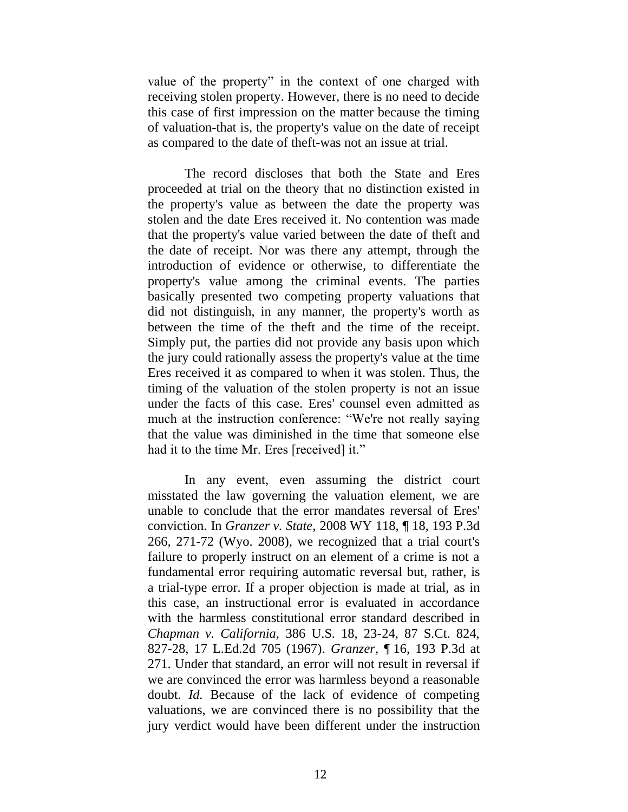value of the property" in the context of one charged with receiving stolen property. However, there is no need to decide this case of first impression on the matter because the timing of valuation-that is, the property's value on the date of receipt as compared to the date of theft-was not an issue at trial.

The record discloses that both the State and Eres proceeded at trial on the theory that no distinction existed in the property's value as between the date the property was stolen and the date Eres received it. No contention was made that the property's value varied between the date of theft and the date of receipt. Nor was there any attempt, through the introduction of evidence or otherwise, to differentiate the property's value among the criminal events. The parties basically presented two competing property valuations that did not distinguish, in any manner, the property's worth as between the time of the theft and the time of the receipt. Simply put, the parties did not provide any basis upon which the jury could rationally assess the property's value at the time Eres received it as compared to when it was stolen. Thus, the timing of the valuation of the stolen property is not an issue under the facts of this case. Eres' counsel even admitted as much at the instruction conference: "We're not really saying that the value was diminished in the time that someone else had it to the time Mr. Eres [received] it."

In any event, even assuming the district court misstated the law governing the valuation element, we are unable to conclude that the error mandates reversal of Eres' conviction. In *[Granzer v. State,](http://www.westlaw.com/Find/Default.wl?rs=dfa1.0&vr=2.0&DB=4645&FindType=Y&ReferencePositionType=S&SerialNum=2017221814&ReferencePosition=271)* [2008 WY 118, ¶](http://www.westlaw.com/Find/Default.wl?rs=dfa1.0&vr=2.0&DB=4645&FindType=Y&ReferencePositionType=S&SerialNum=2017221814&ReferencePosition=271) 18, 193 P.3d 266, 271-72 (Wyo. 2008), we recognized that a trial court's failure to properly instruct on an element of a crime is not a fundamental error requiring automatic reversal but, rather, is a trial-type error. If a proper objection is made at trial, as in this case, an instructional error is evaluated in accordance with the harmless constitutional error standard described in *[Chapman v. California,](http://www.westlaw.com/Find/Default.wl?rs=dfa1.0&vr=2.0&DB=708&FindType=Y&ReferencePositionType=S&SerialNum=1967129471&ReferencePosition=827)* [386 U.S. 18, 23-24, 87 S.Ct. 824,](http://www.westlaw.com/Find/Default.wl?rs=dfa1.0&vr=2.0&DB=708&FindType=Y&ReferencePositionType=S&SerialNum=1967129471&ReferencePosition=827)  827-28, 17 L.Ed.2d 705 (1967). *[Granzer,](http://www.westlaw.com/Find/Default.wl?rs=dfa1.0&vr=2.0&DB=4645&FindType=Y&ReferencePositionType=S&SerialNum=2017221814&ReferencePosition=271)* ¶ [16, 193 P.3d at](http://www.westlaw.com/Find/Default.wl?rs=dfa1.0&vr=2.0&DB=4645&FindType=Y&ReferencePositionType=S&SerialNum=2017221814&ReferencePosition=271)  271. Under that standard, an error will not result in reversal if we are convinced the error was harmless beyond a reasonable doubt. *[Id.](http://www.westlaw.com/Find/Default.wl?rs=dfa1.0&vr=2.0&FindType=Y&SerialNum=2017221814)* Because of the lack of evidence of competing valuations, we are convinced there is no possibility that the jury verdict would have been different under the instruction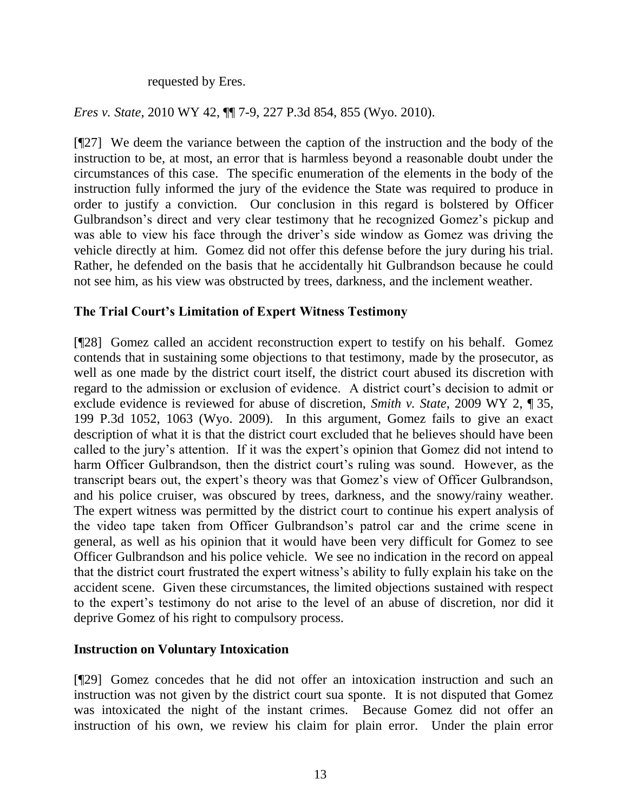requested by Eres.

*Eres v. State*, 2010 WY 42, ¶¶ 7-9, 227 P.3d 854, 855 (Wyo. 2010).

[¶27] We deem the variance between the caption of the instruction and the body of the instruction to be, at most, an error that is harmless beyond a reasonable doubt under the circumstances of this case. The specific enumeration of the elements in the body of the instruction fully informed the jury of the evidence the State was required to produce in order to justify a conviction. Our conclusion in this regard is bolstered by Officer Gulbrandson's direct and very clear testimony that he recognized Gomez's pickup and was able to view his face through the driver's side window as Gomez was driving the vehicle directly at him. Gomez did not offer this defense before the jury during his trial. Rather, he defended on the basis that he accidentally hit Gulbrandson because he could not see him, as his view was obstructed by trees, darkness, and the inclement weather.

# **The Trial Court's Limitation of Expert Witness Testimony**

[¶28] Gomez called an accident reconstruction expert to testify on his behalf. Gomez contends that in sustaining some objections to that testimony, made by the prosecutor, as well as one made by the district court itself, the district court abused its discretion with regard to the admission or exclusion of evidence. A district court's decision to admit or exclude evidence is reviewed for abuse of discretion, *Smith v. State*, 2009 WY 2, ¶ 35, 199 P.3d 1052, 1063 (Wyo. 2009). In this argument, Gomez fails to give an exact description of what it is that the district court excluded that he believes should have been called to the jury's attention. If it was the expert's opinion that Gomez did not intend to harm Officer Gulbrandson, then the district court's ruling was sound. However, as the transcript bears out, the expert's theory was that Gomez's view of Officer Gulbrandson, and his police cruiser, was obscured by trees, darkness, and the snowy/rainy weather. The expert witness was permitted by the district court to continue his expert analysis of the video tape taken from Officer Gulbrandson's patrol car and the crime scene in general, as well as his opinion that it would have been very difficult for Gomez to see Officer Gulbrandson and his police vehicle. We see no indication in the record on appeal that the district court frustrated the expert witness's ability to fully explain his take on the accident scene. Given these circumstances, the limited objections sustained with respect to the expert's testimony do not arise to the level of an abuse of discretion, nor did it deprive Gomez of his right to compulsory process.

# **Instruction on Voluntary Intoxication**

[¶29] Gomez concedes that he did not offer an intoxication instruction and such an instruction was not given by the district court sua sponte. It is not disputed that Gomez was intoxicated the night of the instant crimes. Because Gomez did not offer an instruction of his own, we review his claim for plain error. Under the plain error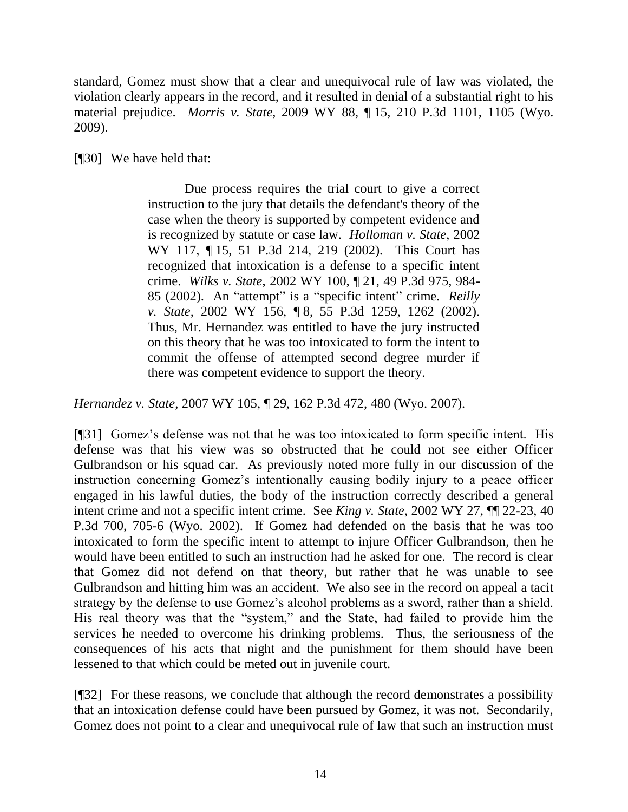standard, Gomez must show that a clear and unequivocal rule of law was violated, the violation clearly appears in the record, and it resulted in denial of a substantial right to his material prejudice. *Morris v. State*, 2009 WY 88, ¶ 15, 210 P.3d 1101, 1105 (Wyo. 2009).

[¶30] We have held that:

Due process requires the trial court to give a correct instruction to the jury that details the defendant's theory of the case when the theory is supported by competent evidence and is recognized by statute or case law. *Holloman v. State*, 2002 WY 117, ¶ 15, 51 P.3d 214, 219 (2002). This Court has recognized that intoxication is a defense to a specific intent crime. *Wilks v. State*, 2002 WY 100, ¶ 21, 49 P.3d 975, 984- 85 (2002). An "attempt" is a "specific intent" crime. *Reilly v. State*, 2002 WY 156, ¶ 8, 55 P.3d 1259, 1262 (2002). Thus, Mr. Hernandez was entitled to have the jury instructed on this theory that he was too intoxicated to form the intent to commit the offense of attempted second degree murder if there was competent evidence to support the theory.

*Hernandez v. State*, 2007 WY 105, ¶ 29, 162 P.3d 472, 480 (Wyo. 2007).

[¶31] Gomez's defense was not that he was too intoxicated to form specific intent. His defense was that his view was so obstructed that he could not see either Officer Gulbrandson or his squad car. As previously noted more fully in our discussion of the instruction concerning Gomez's intentionally causing bodily injury to a peace officer engaged in his lawful duties, the body of the instruction correctly described a general intent crime and not a specific intent crime. See *King v. State*, 2002 WY 27, ¶¶ 22-23, 40 P.3d 700, 705-6 (Wyo. 2002). If Gomez had defended on the basis that he was too intoxicated to form the specific intent to attempt to injure Officer Gulbrandson, then he would have been entitled to such an instruction had he asked for one. The record is clear that Gomez did not defend on that theory, but rather that he was unable to see Gulbrandson and hitting him was an accident. We also see in the record on appeal a tacit strategy by the defense to use Gomez's alcohol problems as a sword, rather than a shield. His real theory was that the "system," and the State, had failed to provide him the services he needed to overcome his drinking problems. Thus, the seriousness of the consequences of his acts that night and the punishment for them should have been lessened to that which could be meted out in juvenile court.

[¶32] For these reasons, we conclude that although the record demonstrates a possibility that an intoxication defense could have been pursued by Gomez, it was not. Secondarily, Gomez does not point to a clear and unequivocal rule of law that such an instruction must